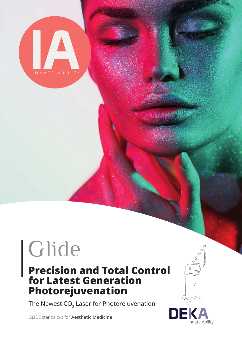

# Glide

## **Precision and Total Control for Latest Generation Photorejuvenation**

The Newest  $CO<sub>2</sub>$  Laser for Photorejuvenation

GLIDE stands out for **Aesthetic Medicine** 

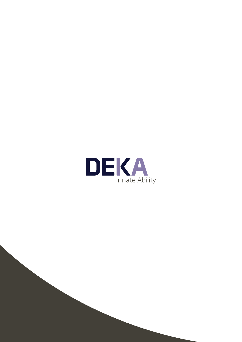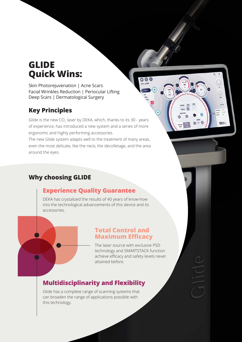## **GLIDE Quick Wins:**

Skin Photorejuvenation | Acne Scars Facial Wrinkles Reduction | Periocular Lifting Deep Scars | Dermatological Surgery

## **Key Principles**

Glide is the new CO<sub>2</sub> laser by DEKA, which, thanks to its 30 - years of experience, has introduced a new system and a series of more ergonomic and highly performing accessories.

The new Glide system adapts well to the treatment of many areas, even the most delicate, like the neck, the decolletage, and the area around the eyes.

## **Why choosing GLIDE**

## **Experience Quality Guarantee**

DEKA has crystalized the results of 40 years of know-how into the technological advancements of this device and its accessories.

### **Total Control and Maximum Efficacy**

The laser source with exclusive PSD technology and SMARTSTACK function achieve efficacy and safety levels never attained before.

 $\overline{\mathbf{o}} \circ \mathbf{c}$ 

m

 $\Omega$ 

**DEKA** 

## **Multidisciplinarity and Flexibility**

Glide has a complete range of scanning systems that can broaden the range of applications possible with this technology.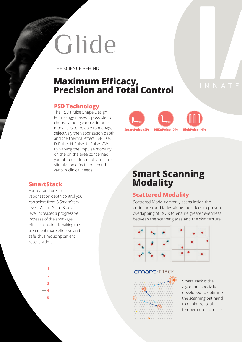# Glide

THE SCIENCE BEHIND

## **Maximum Efficacy, Precision and Total Control**

#### **PSD Technology**

The PSD (Pulse Shape Design) technology makes it possible to choose among various impulse modalities to be able to manage selectively the vaporization depth and the thermal effect: S-Pulse, D-Pulse. H-Pulse, U-Pulse, CW. By varying the impulse modality on the on the area concerned you obtain different ablation and stimulation effects to meet the various clinical needs.

## **SmartPulse (SP) DEKAPulse (DP) HighPulse (HP)**

For real and precise vaporization depth control you can select from 5 SmartStack levels. As the SmartStack level increases a progressive increase of the shrinkage effect is obtained, making the treatment more effective and safe, thus reducing patient recovery time.



## **Smart Scanning SmartStack Modality**

### **Scattered Modality**

Scattered Modality evenly scans inside the entire area and fades along the edges to prevent overlapping of DOTs to ensure greater evenness between the scanning area and the skin texture.



#### **SMART**.TRACK



SmartTrack is the algorithm specially developed to optimize the scanning pat hand to minimize local temperature increase.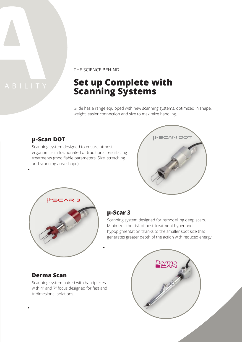## THE SCIENCE BEHIND

## **Set up Complete with Scanning Systems**

Glide has a range equipped with new scanning systems, optimized in shape, weight, easier connection and size to maximize handling.

### **µ-Scan DOT**

Scanning system designed to ensure utmost ergonomics in fractionated or traditional resurfacing treatments (modifiable parameters: Size, stretching and scanning area shape).





#### **µ-Scar 3**

Scanning system designed for remodelling deep scars. Minimizes the risk of post-treatment hyper and hypopigmentation thanks to the smaller spot size that generates greater depth of the action with reduced energy.

### **Derma Scan**

Scanning system paired with handpieces with 4" and 7" focus designed for fast and tridimesional ablations.

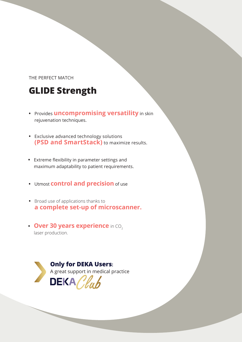#### THE PERFECT MATCH

## **GLIDE Strength**

- **•** Provides **uncompromising versatility** in skin rejuvenation techniques.
- **•** Exclusive advanced technology solutions **(PSD and SmartStack)** to maximize results.
- **•** Extreme flexibility in parameter settings and maximum adaptability to patient requirements.
- **•** Utmost **control and precision** of use
- **•** Broad use of applications thanks to **a complete set-up of microscanner.**
- **Over 30 years experience** in CO<sub>2</sub> laser production.

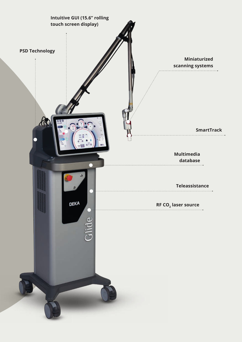